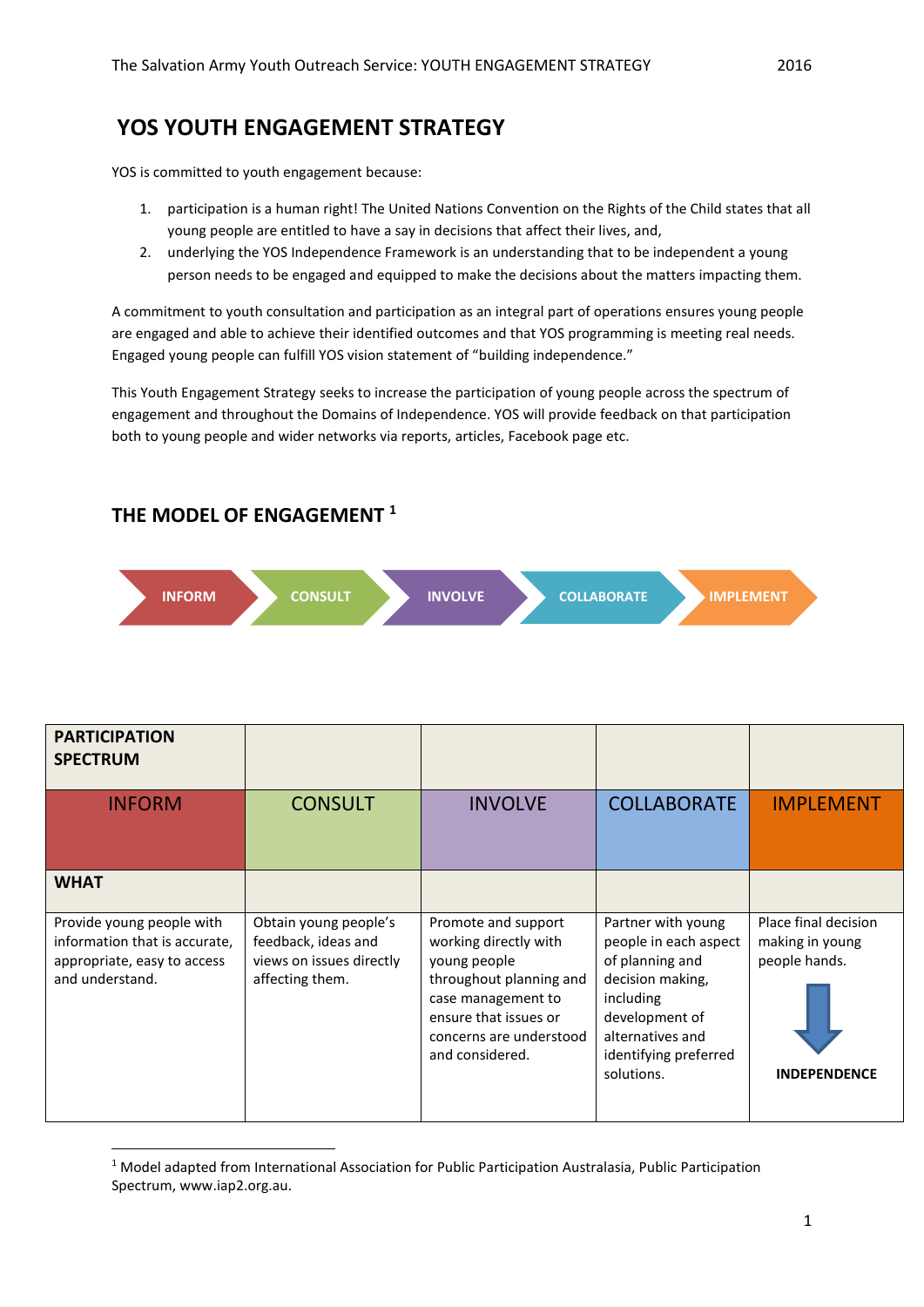# **YOS YOUTH ENGAGEMENT STRATEGY**

YOS is committed to youth engagement because:

- 1. participation is a human right! The United Nations Convention on the Rights of the Child states that all young people are entitled to have a say in decisions that affect their lives, and,
- 2. underlying the YOS Independence Framework is an understanding that to be independent a young person needs to be engaged and equipped to make the decisions about the matters impacting them.

A commitment to youth consultation and participation as an integral part of operations ensures young people are engaged and able to achieve their identified outcomes and that YOS programming is meeting real needs. Engaged young people can fulfill YOS vision statement of "building independence."

This Youth Engagement Strategy seeks to increase the participation of young people across the spectrum of engagement and throughout the Domains of Independence. YOS will provide feedback on that participation both to young people and wider networks via reports, articles, Facebook page etc.

### **THE MODEL OF ENGAGEMENT <sup>1</sup>**

**.** 



| <b>PARTICIPATION</b><br><b>SPECTRUM</b>                                                                      |                                                                                             |                                                                                                                                                                                      |                                                                                                                                                                              |                                                                                 |
|--------------------------------------------------------------------------------------------------------------|---------------------------------------------------------------------------------------------|--------------------------------------------------------------------------------------------------------------------------------------------------------------------------------------|------------------------------------------------------------------------------------------------------------------------------------------------------------------------------|---------------------------------------------------------------------------------|
| <b>INFORM</b>                                                                                                | <b>CONSULT</b>                                                                              | <b>INVOLVE</b>                                                                                                                                                                       | <b>COLLABORATE</b>                                                                                                                                                           | <b>IMPLEMENT</b>                                                                |
| <b>WHAT</b>                                                                                                  |                                                                                             |                                                                                                                                                                                      |                                                                                                                                                                              |                                                                                 |
| Provide young people with<br>information that is accurate,<br>appropriate, easy to access<br>and understand. | Obtain young people's<br>feedback, ideas and<br>views on issues directly<br>affecting them. | Promote and support<br>working directly with<br>young people<br>throughout planning and<br>case management to<br>ensure that issues or<br>concerns are understood<br>and considered. | Partner with young<br>people in each aspect<br>of planning and<br>decision making,<br>including<br>development of<br>alternatives and<br>identifying preferred<br>solutions. | Place final decision<br>making in young<br>people hands.<br><b>INDEPENDENCE</b> |

<sup>&</sup>lt;sup>1</sup> Model adapted from International Association for Public Participation Australasia, Public Participation Spectrum, www.iap2.org.au.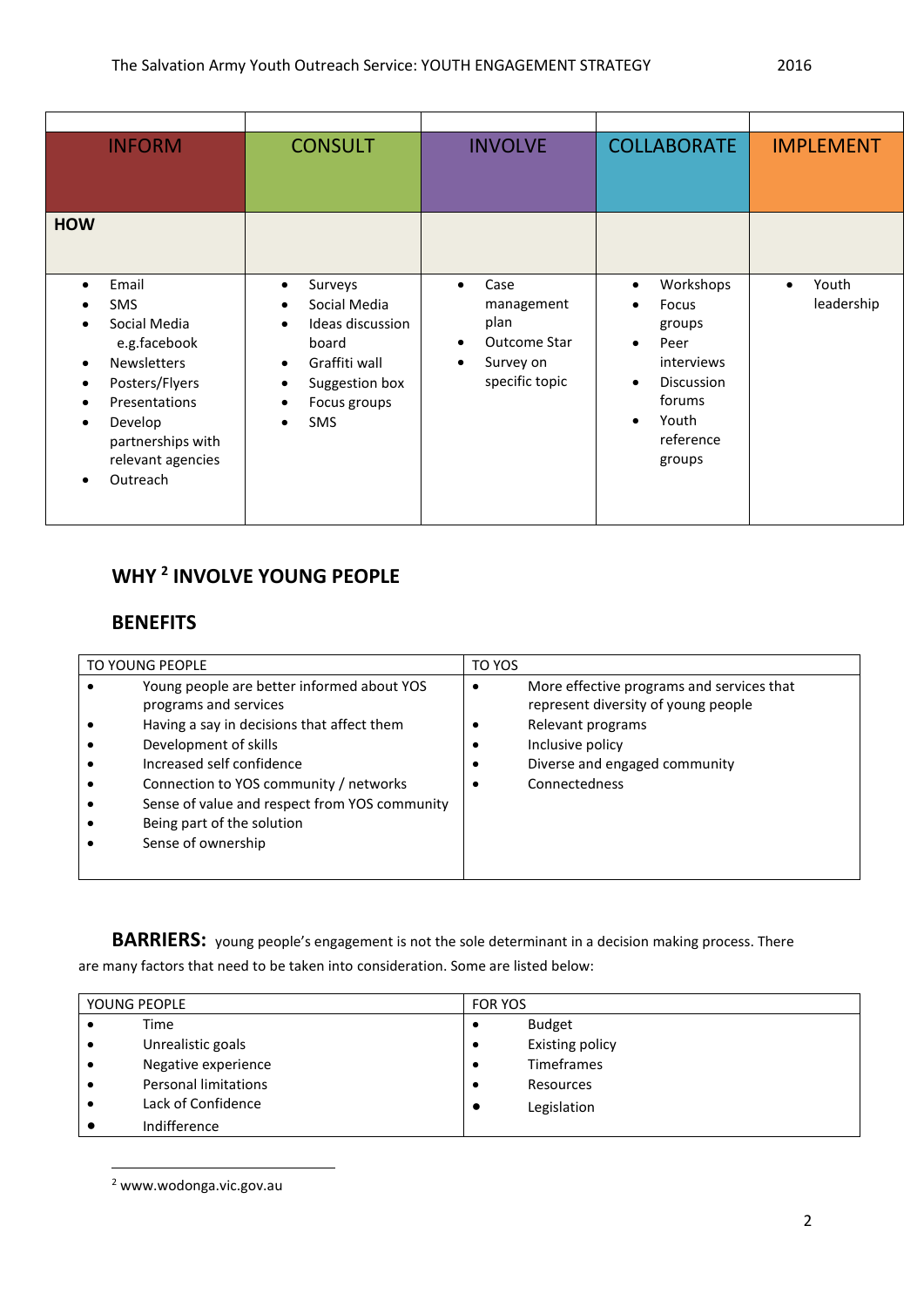| <b>INFORM</b>                                                                                                                                                                                                                                                                         | <b>CONSULT</b>                                                                                                                                                                      | <b>INVOLVE</b>                                                                                                   |                                                                                                                                                                                    | <b>IMPLEMENT</b>    |
|---------------------------------------------------------------------------------------------------------------------------------------------------------------------------------------------------------------------------------------------------------------------------------------|-------------------------------------------------------------------------------------------------------------------------------------------------------------------------------------|------------------------------------------------------------------------------------------------------------------|------------------------------------------------------------------------------------------------------------------------------------------------------------------------------------|---------------------|
| <b>HOW</b>                                                                                                                                                                                                                                                                            |                                                                                                                                                                                     |                                                                                                                  |                                                                                                                                                                                    |                     |
| Email<br>$\bullet$<br><b>SMS</b><br>$\bullet$<br>Social Media<br>$\bullet$<br>e.g.facebook<br><b>Newsletters</b><br>$\bullet$<br>Posters/Flyers<br>$\bullet$<br>Presentations<br>$\bullet$<br>Develop<br>$\bullet$<br>partnerships with<br>relevant agencies<br>Outreach<br>$\bullet$ | Surveys<br>Social Media<br>$\bullet$<br>Ideas discussion<br>$\bullet$<br>board<br>Graffiti wall<br>$\bullet$<br>Suggestion box<br>$\bullet$<br>Focus groups<br>٠<br><b>SMS</b><br>٠ | Case<br>$\bullet$<br>management<br>plan<br>Outcome Star<br>$\bullet$<br>Survey on<br>$\bullet$<br>specific topic | Workshops<br>$\bullet$<br>Focus<br>$\bullet$<br>groups<br>Peer<br>$\bullet$<br>interviews<br><b>Discussion</b><br>$\bullet$<br>forums<br>Youth<br>$\bullet$<br>reference<br>groups | Youth<br>leadership |

# **WHY <sup>2</sup> INVOLVE YOUNG PEOPLE**

## **BENEFITS**

| TO YOUNG PEOPLE                                                      |                                                                                                                                                                                                                                                | TO YOS    |                                                                                                                                                                             |
|----------------------------------------------------------------------|------------------------------------------------------------------------------------------------------------------------------------------------------------------------------------------------------------------------------------------------|-----------|-----------------------------------------------------------------------------------------------------------------------------------------------------------------------------|
| programs and services<br>Development of skills<br>Sense of ownership | Young people are better informed about YOS<br>Having a say in decisions that affect them<br>Increased self confidence<br>Connection to YOS community / networks<br>Sense of value and respect from YOS community<br>Being part of the solution | $\bullet$ | More effective programs and services that<br>represent diversity of young people<br>Relevant programs<br>Inclusive policy<br>Diverse and engaged community<br>Connectedness |

**BARRIERS:** young people's engagement is not the sole determinant in a decision making process. There

are many factors that need to be taken into consideration. Some are listed below:

| YOUNG PEOPLE |                             | <b>FOR YOS</b> |                        |
|--------------|-----------------------------|----------------|------------------------|
|              | Time                        |                | <b>Budget</b>          |
|              | Unrealistic goals           | $\bullet$      | <b>Existing policy</b> |
|              | Negative experience         | $\bullet$      | Timeframes             |
|              | <b>Personal limitations</b> | $\bullet$      | Resources              |
|              | Lack of Confidence          | $\bullet$      | Legislation            |
|              | Indifference                |                |                        |

<sup>2</sup> www.wodonga.vic.gov.au

**.**